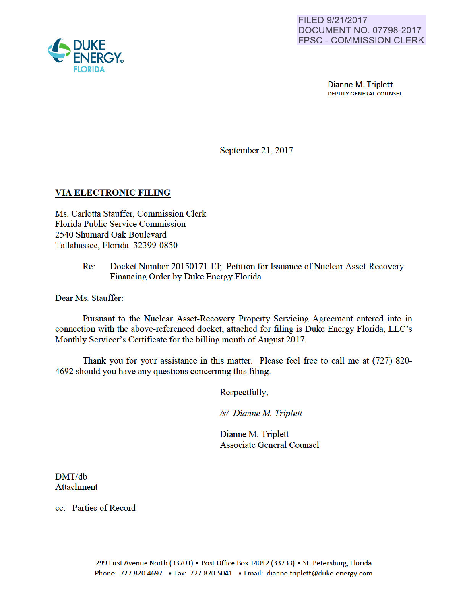

Dianne M. Triplett DEPUTY GENERAL COUNSEL

September 21, 2017

### VIA ELECTRONIC FILING

Ms. Carlotta Stauffer, Commission Clerk Florida Public Service Commission 2540 Shumard Oak Boulevard Tallahassee, Florida 32399-0850

> Re: Docket Number 20150171-EI; Petition for Issuance of Nuclear Asset-Recovery Financing Order by Duke Energy Florida

Dear Ms. Stauffer:

Pursuant to the Nuclear Asset-Recovery Property Servicing Agreement entered into in connection with the above-referenced docket, attached for filing is Duke Energy Florida, LLC's Monthly Servicer's Certificate for the billing month of August 2017.

Thank you for your assistance in this matter. Please feel free to call me at (727) 820- 4692 should you have any questions conceming this filing.

Respectfully,

*Is/ Dianne M Triplett* 

Dianne M. Triplett Associate General Counsel

DMT/db Attachment

cc: Parties of Record

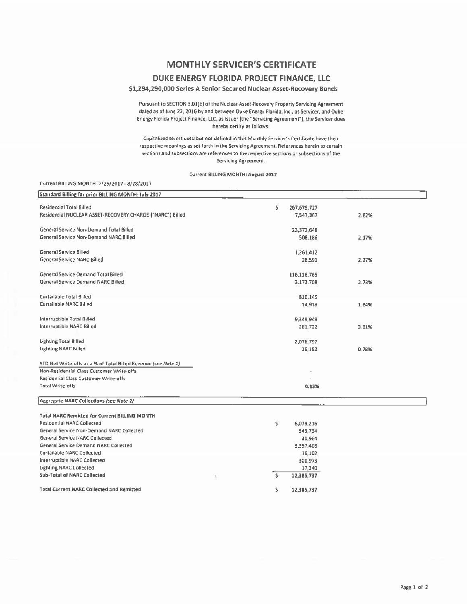## **MONTHLY SERVICER'S CERTIFICATE** DUKE ENERGY FLORIDA PROJECT FINANCE, LLC

### \$1,294,290,000 Series A Senior Secured Nuclear Asset-Recovery Bonds

Pursuant to SECTION 3.01(b) of the Nuclear Asset-Recovery Property Servicing Agreement dated as of June 22, 2016 by and between Duke Energy Florida, Inc., as Servicer, and Duke Energy Florida Project Finance, LLC, as Issuer (the "Servicing Agreement"), the Servicer does hereby certify as follows:

Capitalized terms used but not defined in this Monthly Servicer's Certificate have their respective meanings as set forth in the Servicing Agreement. References herein to certain sections and subsections are references to the respective sections or subsections of the Servicing Agreement.

#### Current BILLING MONTH: August 2017

#### Current BILLING MONTH: 7/29/2017 - 8/28/2017

**Total Current NARC Collected and Remitted** 

| Standard Billing for prior BILLING MONTH: July 2017            |                  |       |
|----------------------------------------------------------------|------------------|-------|
| <b>Residential Total Billed</b>                                | s<br>267.675.727 |       |
| Residential NUCLEAR ASSET-RECOVERY CHARGE ("NARC") Billed      | 7,547,367        | 2.82% |
|                                                                |                  |       |
| General Service Non-Demand Total Billed                        | 23,372,648       |       |
| General Service Non-Demand NARC Billed                         | 508,186          | 2.17% |
| General Service Billed                                         | 1.261.412        |       |
| General Service NARC Billed                                    | 28,591           | 2.27% |
|                                                                |                  |       |
| General Service Demand Total Billed                            | 116,116,765      |       |
| General Service Demand NARC Billed                             | 3.173.708        | 2.73% |
| Curtailable Total Billed                                       | 810,145          |       |
| Curtailable NARC Billed                                        | 14,918           | 1.84% |
|                                                                |                  |       |
| Interruptible Total Billed                                     | 9,349,948        |       |
| Interruptible NARC Billed                                      | 281,722          | 3.01% |
| Lighting Total Billed                                          | 2,076,797        |       |
| Lighting NARC Billed                                           | 16,182           | 0.78% |
|                                                                |                  |       |
| YTD Net Write-offs as a % of Total Billed Revenue (see Note 1) |                  |       |
| Non-Residential Class Customer Write-offs                      |                  |       |
| Residential Class Customer Write-offs                          |                  |       |
| Total Write-offs                                               | 0.13%            |       |
|                                                                |                  |       |
| Aggregate NARC Collections (see Note 2)                        |                  |       |
| <b>Total NARC Remitted for Current BILLING MONTH</b>           |                  |       |
| Residential NARC Collected                                     | s.<br>8,079,216  |       |
| General Service Non-Demand NARC Collected                      |                  |       |
| General Service NARC Collected                                 | 543,734          |       |
| General Service Demand NARC Collected                          | 30,964           |       |
| Curtailable NARC Collected                                     | 3,397,408        |       |
|                                                                | 16,102           |       |
| Interruptible NARC Collected                                   | 300,973          |       |
| <b>Lighting NARC Collected</b>                                 | 17,340           |       |
| Sub-Total of NARC Collected                                    | s<br>12.385.737  |       |

12,385,737

12,385,737

Ŝ.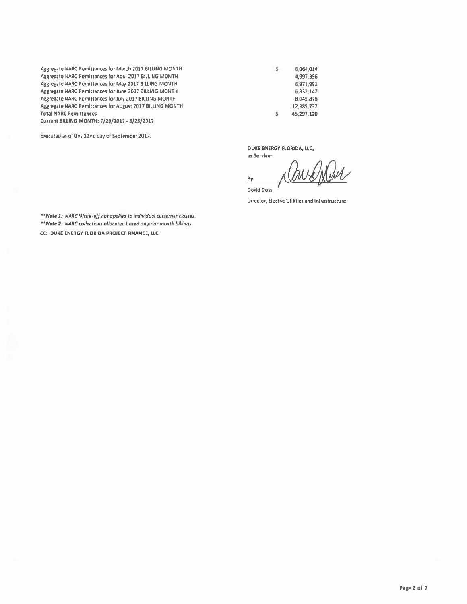Aggregate NARC Remittances for March 2017 BILLING MONTH Aggregate NARC Remittances for April 2017 BILLING MONTH Aggregate NARC Remittances for May 2017 BILLING MONTH Aggregate NARC Remittances for June 2017 BILLING MONTH Aggregate NARC Remittances for July 2017 BILLING MONTH Aggregate NARC Remittances for August 2017 BILLING MONTH **Total NARC Remittances** 

Current BILLING MONTH: 7/29/2017 - 8/28/2017

Executed as of this 22nd day of September 2017.

DUKE ENERGY FLORIDA, LLC,

 $\mathsf{s}$ 

s

as Servicer twe Mond  $\theta$ y:

6,064,014

4,997,356

6,971,991

6,832,147

8,045,876

12,385,737

45,297,120

**David Doss** 

Director, Electric Utilities and Infrastructure

\*\* Note 1: NARC Write-off not applied to individual customer classes. \*\*Note 2: NARC collections allocated based on prior month billings. CC: DUKE ENERGY FLORIDA PROJECT FINANCE, LLC